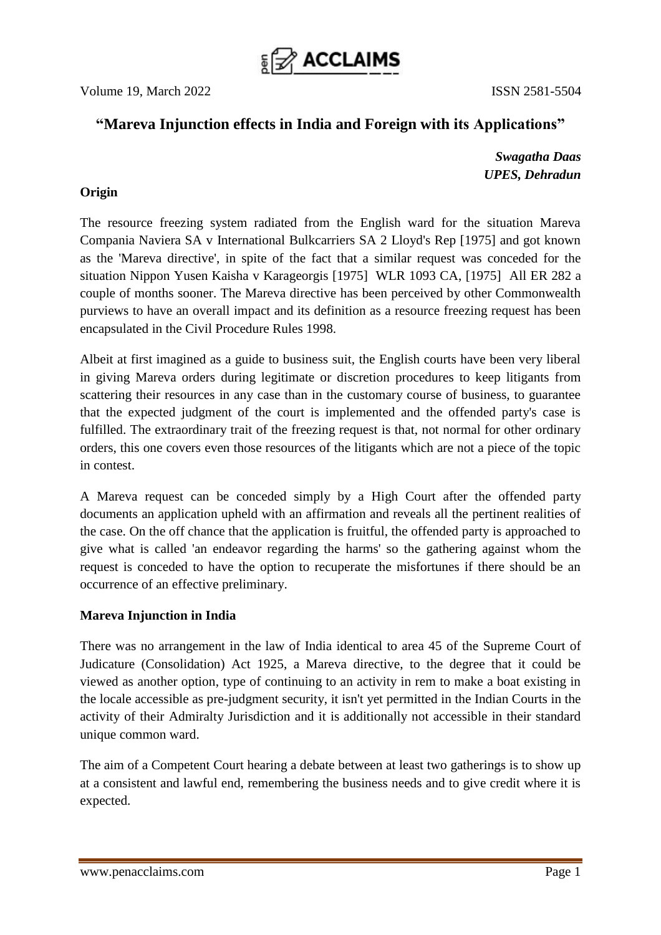

# **"Mareva Injunction effects in India and Foreign with its Applications"**

*Swagatha Daas UPES, Dehradun*

# **Origin**

The resource freezing system radiated from the English ward for the situation Mareva Compania Naviera SA v International Bulkcarriers SA 2 Lloyd's Rep [1975] and got known as the 'Mareva directive', in spite of the fact that a similar request was conceded for the situation Nippon Yusen Kaisha v Karageorgis [1975] WLR 1093 CA, [1975] All ER 282 a couple of months sooner. The Mareva directive has been perceived by other Commonwealth purviews to have an overall impact and its definition as a resource freezing request has been encapsulated in the Civil Procedure Rules 1998.

Albeit at first imagined as a guide to business suit, the English courts have been very liberal in giving Mareva orders during legitimate or discretion procedures to keep litigants from scattering their resources in any case than in the customary course of business, to guarantee that the expected judgment of the court is implemented and the offended party's case is fulfilled. The extraordinary trait of the freezing request is that, not normal for other ordinary orders, this one covers even those resources of the litigants which are not a piece of the topic in contest.

A Mareva request can be conceded simply by a High Court after the offended party documents an application upheld with an affirmation and reveals all the pertinent realities of the case. On the off chance that the application is fruitful, the offended party is approached to give what is called 'an endeavor regarding the harms' so the gathering against whom the request is conceded to have the option to recuperate the misfortunes if there should be an occurrence of an effective preliminary.

# **Mareva Injunction in India**

There was no arrangement in the law of India identical to area 45 of the Supreme Court of Judicature (Consolidation) Act 1925, a Mareva directive, to the degree that it could be viewed as another option, type of continuing to an activity in rem to make a boat existing in the locale accessible as pre-judgment security, it isn't yet permitted in the Indian Courts in the activity of their Admiralty Jurisdiction and it is additionally not accessible in their standard unique common ward.

The aim of a Competent Court hearing a debate between at least two gatherings is to show up at a consistent and lawful end, remembering the business needs and to give credit where it is expected.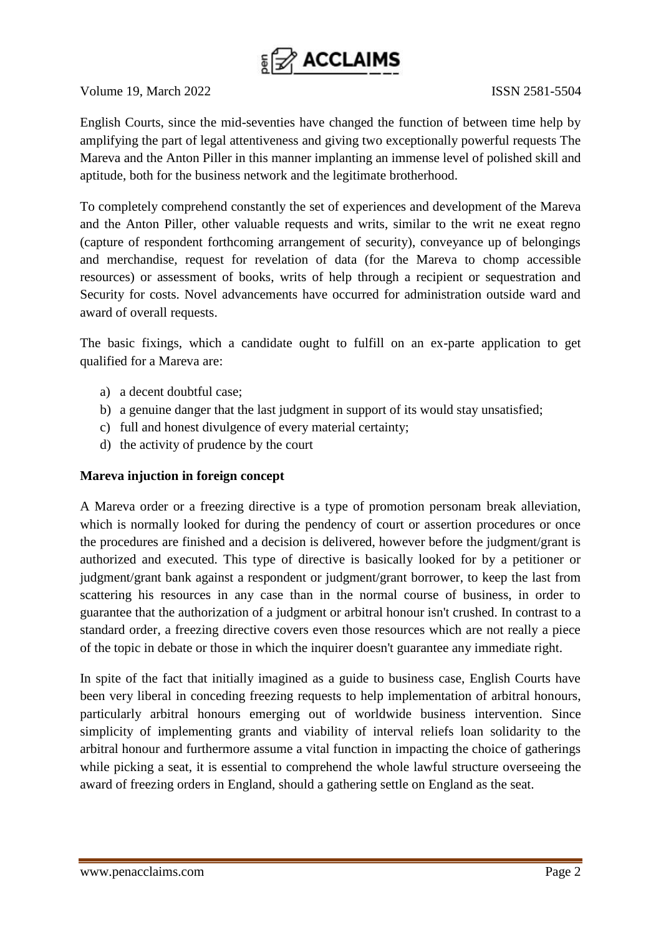

English Courts, since the mid-seventies have changed the function of between time help by amplifying the part of legal attentiveness and giving two exceptionally powerful requests The Mareva and the Anton Piller in this manner implanting an immense level of polished skill and aptitude, both for the business network and the legitimate brotherhood.

To completely comprehend constantly the set of experiences and development of the Mareva and the Anton Piller, other valuable requests and writs, similar to the writ ne exeat regno (capture of respondent forthcoming arrangement of security), conveyance up of belongings and merchandise, request for revelation of data (for the Mareva to chomp accessible resources) or assessment of books, writs of help through a recipient or sequestration and Security for costs. Novel advancements have occurred for administration outside ward and award of overall requests.

The basic fixings, which a candidate ought to fulfill on an ex-parte application to get qualified for a Mareva are:

- a) a decent doubtful case;
- b) a genuine danger that the last judgment in support of its would stay unsatisfied;
- c) full and honest divulgence of every material certainty;
- d) the activity of prudence by the court

### **Mareva injuction in foreign concept**

A Mareva order or a freezing directive is a type of promotion personam break alleviation, which is normally looked for during the pendency of court or assertion procedures or once the procedures are finished and a decision is delivered, however before the judgment/grant is authorized and executed. This type of directive is basically looked for by a petitioner or judgment/grant bank against a respondent or judgment/grant borrower, to keep the last from scattering his resources in any case than in the normal course of business, in order to guarantee that the authorization of a judgment or arbitral honour isn't crushed. In contrast to a standard order, a freezing directive covers even those resources which are not really a piece of the topic in debate or those in which the inquirer doesn't guarantee any immediate right.

In spite of the fact that initially imagined as a guide to business case, English Courts have been very liberal in conceding freezing requests to help implementation of arbitral honours, particularly arbitral honours emerging out of worldwide business intervention. Since simplicity of implementing grants and viability of interval reliefs loan solidarity to the arbitral honour and furthermore assume a vital function in impacting the choice of gatherings while picking a seat, it is essential to comprehend the whole lawful structure overseeing the award of freezing orders in England, should a gathering settle on England as the seat.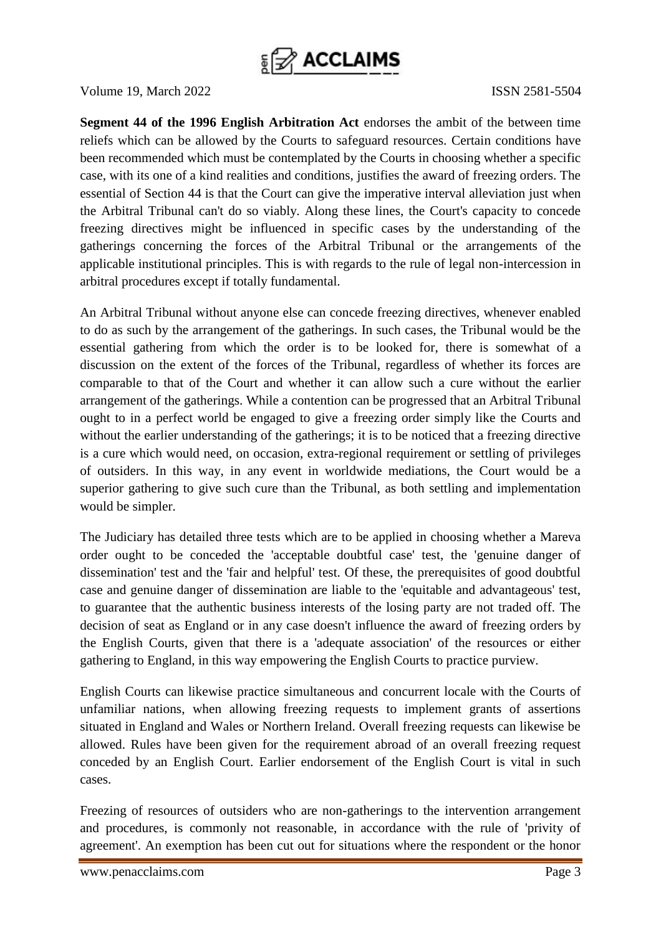

**Segment 44 of the 1996 English Arbitration Act** endorses the ambit of the between time reliefs which can be allowed by the Courts to safeguard resources. Certain conditions have been recommended which must be contemplated by the Courts in choosing whether a specific case, with its one of a kind realities and conditions, justifies the award of freezing orders. The essential of Section 44 is that the Court can give the imperative interval alleviation just when the Arbitral Tribunal can't do so viably. Along these lines, the Court's capacity to concede freezing directives might be influenced in specific cases by the understanding of the gatherings concerning the forces of the Arbitral Tribunal or the arrangements of the applicable institutional principles. This is with regards to the rule of legal non-intercession in arbitral procedures except if totally fundamental.

An Arbitral Tribunal without anyone else can concede freezing directives, whenever enabled to do as such by the arrangement of the gatherings. In such cases, the Tribunal would be the essential gathering from which the order is to be looked for, there is somewhat of a discussion on the extent of the forces of the Tribunal, regardless of whether its forces are comparable to that of the Court and whether it can allow such a cure without the earlier arrangement of the gatherings. While a contention can be progressed that an Arbitral Tribunal ought to in a perfect world be engaged to give a freezing order simply like the Courts and without the earlier understanding of the gatherings; it is to be noticed that a freezing directive is a cure which would need, on occasion, extra-regional requirement or settling of privileges of outsiders. In this way, in any event in worldwide mediations, the Court would be a superior gathering to give such cure than the Tribunal, as both settling and implementation would be simpler.

The Judiciary has detailed three tests which are to be applied in choosing whether a Mareva order ought to be conceded the 'acceptable doubtful case' test, the 'genuine danger of dissemination' test and the 'fair and helpful' test. Of these, the prerequisites of good doubtful case and genuine danger of dissemination are liable to the 'equitable and advantageous' test, to guarantee that the authentic business interests of the losing party are not traded off. The decision of seat as England or in any case doesn't influence the award of freezing orders by the English Courts, given that there is a 'adequate association' of the resources or either gathering to England, in this way empowering the English Courts to practice purview.

English Courts can likewise practice simultaneous and concurrent locale with the Courts of unfamiliar nations, when allowing freezing requests to implement grants of assertions situated in England and Wales or Northern Ireland. Overall freezing requests can likewise be allowed. Rules have been given for the requirement abroad of an overall freezing request conceded by an English Court. Earlier endorsement of the English Court is vital in such cases.

Freezing of resources of outsiders who are non-gatherings to the intervention arrangement and procedures, is commonly not reasonable, in accordance with the rule of 'privity of agreement'. An exemption has been cut out for situations where the respondent or the honor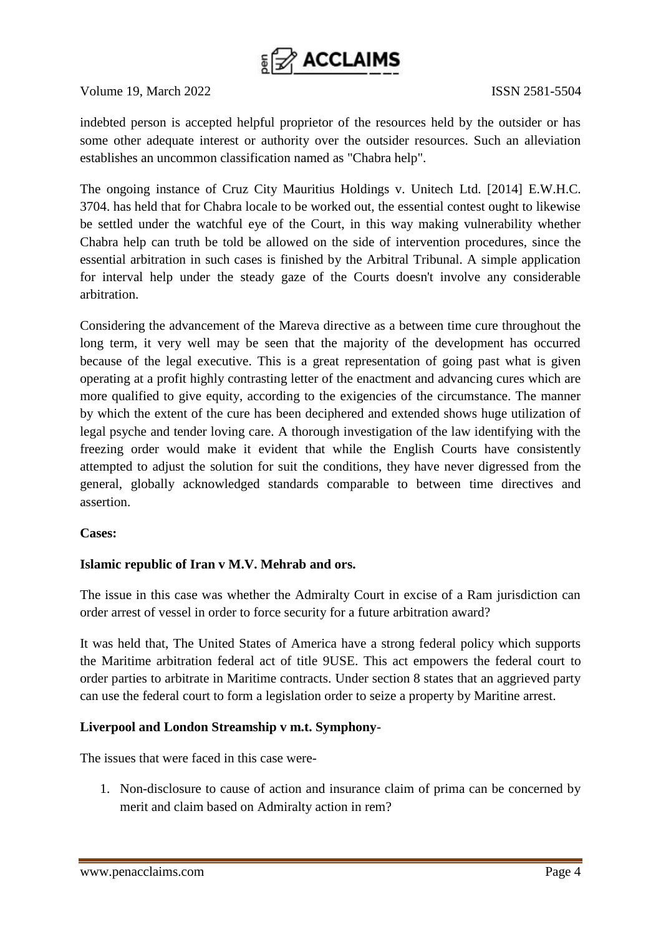

indebted person is accepted helpful proprietor of the resources held by the outsider or has some other adequate interest or authority over the outsider resources. Such an alleviation establishes an uncommon classification named as "Chabra help".

The ongoing instance of Cruz City Mauritius Holdings v. Unitech Ltd. [2014] E.W.H.C. 3704. has held that for Chabra locale to be worked out, the essential contest ought to likewise be settled under the watchful eye of the Court, in this way making vulnerability whether Chabra help can truth be told be allowed on the side of intervention procedures, since the essential arbitration in such cases is finished by the Arbitral Tribunal. A simple application for interval help under the steady gaze of the Courts doesn't involve any considerable arbitration.

Considering the advancement of the Mareva directive as a between time cure throughout the long term, it very well may be seen that the majority of the development has occurred because of the legal executive. This is a great representation of going past what is given operating at a profit highly contrasting letter of the enactment and advancing cures which are more qualified to give equity, according to the exigencies of the circumstance. The manner by which the extent of the cure has been deciphered and extended shows huge utilization of legal psyche and tender loving care. A thorough investigation of the law identifying with the freezing order would make it evident that while the English Courts have consistently attempted to adjust the solution for suit the conditions, they have never digressed from the general, globally acknowledged standards comparable to between time directives and assertion.

### **Cases:**

# **Islamic republic of Iran v M.V. Mehrab and ors.**

The issue in this case was whether the Admiralty Court in excise of a Ram jurisdiction can order arrest of vessel in order to force security for a future arbitration award?

It was held that, The United States of America have a strong federal policy which supports the Maritime arbitration federal act of title 9USE. This act empowers the federal court to order parties to arbitrate in Maritime contracts. Under section 8 states that an aggrieved party can use the federal court to form a legislation order to seize a property by Maritine arrest.

### **Liverpool and London Streamship v m.t. Symphony**-

The issues that were faced in this case were-

1. Non-disclosure to cause of action and insurance claim of prima can be concerned by merit and claim based on Admiralty action in rem?